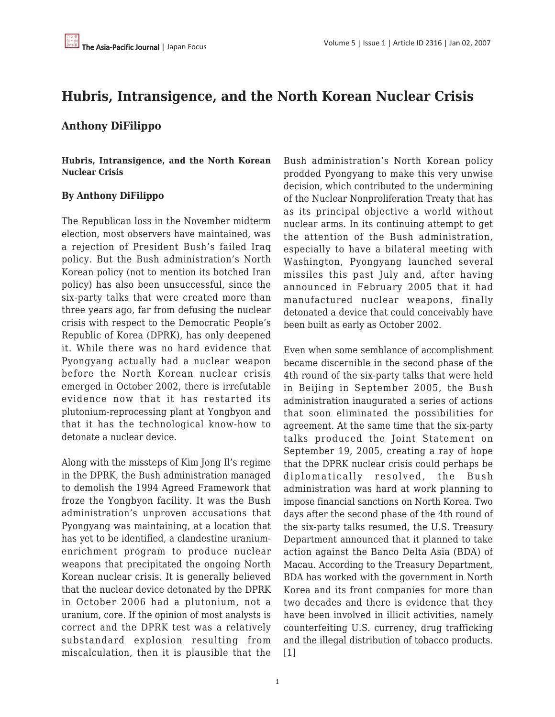# **Hubris, Intransigence, and the North Korean Nuclear Crisis**

## **Anthony DiFilippo**

**Hubris, Intransigence, and the North Korean Nuclear Crisis**

## **By Anthony DiFilippo**

The Republican loss in the November midterm election, most observers have maintained, was a rejection of President Bush's failed Iraq policy. But the Bush administration's North Korean policy (not to mention its botched Iran policy) has also been unsuccessful, since the six-party talks that were created more than three years ago, far from defusing the nuclear crisis with respect to the Democratic People's Republic of Korea (DPRK), has only deepened it. While there was no hard evidence that Pyongyang actually had a nuclear weapon before the North Korean nuclear crisis emerged in October 2002, there is irrefutable evidence now that it has restarted its plutonium-reprocessing plant at Yongbyon and that it has the technological know-how to detonate a nuclear device.

Along with the missteps of Kim Jong Il's regime in the DPRK, the Bush administration managed to demolish the 1994 Agreed Framework that froze the Yongbyon facility. It was the Bush administration's unproven accusations that Pyongyang was maintaining, at a location that has yet to be identified, a clandestine uraniumenrichment program to produce nuclear weapons that precipitated the ongoing North Korean nuclear crisis. It is generally believed that the nuclear device detonated by the DPRK in October 2006 had a plutonium, not a uranium, core. If the opinion of most analysts is correct and the DPRK test was a relatively substandard explosion resulting from miscalculation, then it is plausible that the Bush administration's North Korean policy prodded Pyongyang to make this very unwise decision, which contributed to the undermining of the Nuclear Nonproliferation Treaty that has as its principal objective a world without nuclear arms. In its continuing attempt to get the attention of the Bush administration, especially to have a bilateral meeting with Washington, Pyongyang launched several missiles this past July and, after having announced in February 2005 that it had manufactured nuclear weapons, finally detonated a device that could conceivably have been built as early as October 2002.

Even when some semblance of accomplishment became discernible in the second phase of the 4th round of the six-party talks that were held in Beijing in September 2005, the Bush administration inaugurated a series of actions that soon eliminated the possibilities for agreement. At the same time that the six-party talks produced the Joint Statement on September 19, 2005, creating a ray of hope that the DPRK nuclear crisis could perhaps be diplomatically resolved, the Bush administration was hard at work planning to impose financial sanctions on North Korea. Two days after the second phase of the 4th round of the six-party talks resumed, the U.S. Treasury Department announced that it planned to take action against the Banco Delta Asia (BDA) of Macau. According to the Treasury Department, BDA has worked with the government in North Korea and its front companies for more than two decades and there is evidence that they have been involved in illicit activities, namely counterfeiting U.S. currency, drug trafficking and the illegal distribution of tobacco products. [1]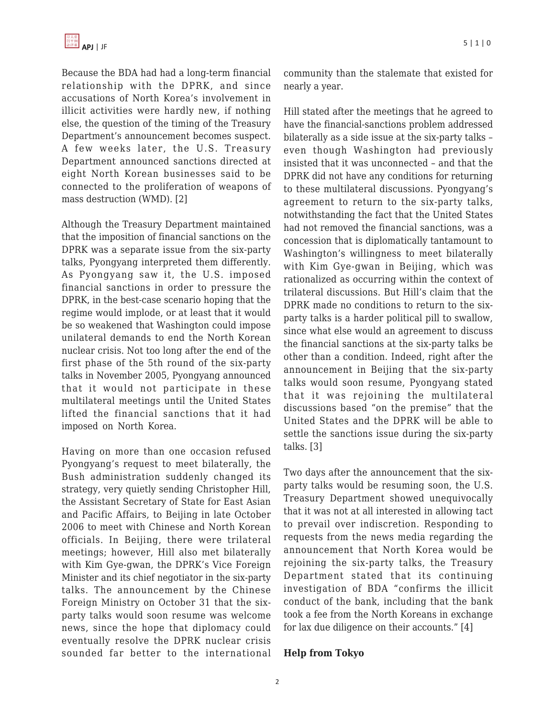Because the BDA had had a long-term financial relationship with the DPRK, and since accusations of North Korea's involvement in illicit activities were hardly new, if nothing else, the question of the timing of the Treasury Department's announcement becomes suspect. A few weeks later, the U.S. Treasury Department announced sanctions directed at eight North Korean businesses said to be connected to the proliferation of weapons of mass destruction (WMD). [2]

Although the Treasury Department maintained that the imposition of financial sanctions on the DPRK was a separate issue from the six-party talks, Pyongyang interpreted them differently. As Pyongyang saw it, the U.S. imposed financial sanctions in order to pressure the DPRK, in the best-case scenario hoping that the regime would implode, or at least that it would be so weakened that Washington could impose unilateral demands to end the North Korean nuclear crisis. Not too long after the end of the first phase of the 5th round of the six-party talks in November 2005, Pyongyang announced that it would not participate in these multilateral meetings until the United States lifted the financial sanctions that it had imposed on North Korea.

Having on more than one occasion refused Pyongyang's request to meet bilaterally, the Bush administration suddenly changed its strategy, very quietly sending Christopher Hill, the Assistant Secretary of State for East Asian and Pacific Affairs, to Beijing in late October 2006 to meet with Chinese and North Korean officials. In Beijing, there were trilateral meetings; however, Hill also met bilaterally with Kim Gye-gwan, the DPRK's Vice Foreign Minister and its chief negotiator in the six-party talks. The announcement by the Chinese Foreign Ministry on October 31 that the sixparty talks would soon resume was welcome news, since the hope that diplomacy could eventually resolve the DPRK nuclear crisis sounded far better to the international community than the stalemate that existed for nearly a year.

Hill stated after the meetings that he agreed to have the financial-sanctions problem addressed bilaterally as a side issue at the six-party talks – even though Washington had previously insisted that it was unconnected – and that the DPRK did not have any conditions for returning to these multilateral discussions. Pyongyang's agreement to return to the six-party talks, notwithstanding the fact that the United States had not removed the financial sanctions, was a concession that is diplomatically tantamount to Washington's willingness to meet bilaterally with Kim Gye-gwan in Beijing, which was rationalized as occurring within the context of trilateral discussions. But Hill's claim that the DPRK made no conditions to return to the sixparty talks is a harder political pill to swallow, since what else would an agreement to discuss the financial sanctions at the six-party talks be other than a condition. Indeed, right after the announcement in Beijing that the six-party talks would soon resume, Pyongyang stated that it was rejoining the multilateral discussions based "on the premise" that the United States and the DPRK will be able to settle the sanctions issue during the six-party talks. [3]

Two days after the announcement that the sixparty talks would be resuming soon, the U.S. Treasury Department showed unequivocally that it was not at all interested in allowing tact to prevail over indiscretion. Responding to requests from the news media regarding the announcement that North Korea would be rejoining the six-party talks, the Treasury Department stated that its continuing investigation of BDA "confirms the illicit conduct of the bank, including that the bank took a fee from the North Koreans in exchange for lax due diligence on their accounts." [4]

#### **Help from Tokyo**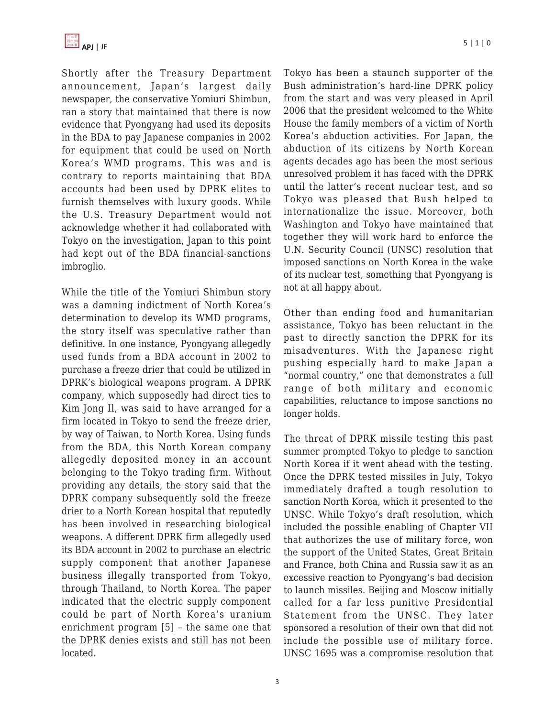

Shortly after the Treasury Department announcement, Japan's largest daily newspaper, the conservative Yomiuri Shimbun, ran a story that maintained that there is now evidence that Pyongyang had used its deposits in the BDA to pay Japanese companies in 2002 for equipment that could be used on North Korea's WMD programs. This was and is contrary to reports maintaining that BDA accounts had been used by DPRK elites to furnish themselves with luxury goods. While the U.S. Treasury Department would not acknowledge whether it had collaborated with Tokyo on the investigation, Japan to this point had kept out of the BDA financial-sanctions imbroglio.

While the title of the Yomiuri Shimbun story was a damning indictment of North Korea's determination to develop its WMD programs, the story itself was speculative rather than definitive. In one instance, Pyongyang allegedly used funds from a BDA account in 2002 to purchase a freeze drier that could be utilized in DPRK's biological weapons program. A DPRK company, which supposedly had direct ties to Kim Jong Il, was said to have arranged for a firm located in Tokyo to send the freeze drier, by way of Taiwan, to North Korea. Using funds from the BDA, this North Korean company allegedly deposited money in an account belonging to the Tokyo trading firm. Without providing any details, the story said that the DPRK company subsequently sold the freeze drier to a North Korean hospital that reputedly has been involved in researching biological weapons. A different DPRK firm allegedly used its BDA account in 2002 to purchase an electric supply component that another Japanese business illegally transported from Tokyo, through Thailand, to North Korea. The paper indicated that the electric supply component could be part of North Korea's uranium enrichment program [5] – the same one that the DPRK denies exists and still has not been located.

Tokyo has been a staunch supporter of the Bush administration's hard-line DPRK policy from the start and was very pleased in April 2006 that the president welcomed to the White House the family members of a victim of North Korea's abduction activities. For Japan, the abduction of its citizens by North Korean agents decades ago has been the most serious unresolved problem it has faced with the DPRK until the latter's recent nuclear test, and so Tokyo was pleased that Bush helped to internationalize the issue. Moreover, both Washington and Tokyo have maintained that together they will work hard to enforce the U.N. Security Council (UNSC) resolution that imposed sanctions on North Korea in the wake of its nuclear test, something that Pyongyang is not at all happy about.

Other than ending food and humanitarian assistance, Tokyo has been reluctant in the past to directly sanction the DPRK for its misadventures. With the Japanese right pushing especially hard to make Japan a "normal country," one that demonstrates a full range of both military and economic capabilities, reluctance to impose sanctions no longer holds.

The threat of DPRK missile testing this past summer prompted Tokyo to pledge to sanction North Korea if it went ahead with the testing. Once the DPRK tested missiles in July, Tokyo immediately drafted a tough resolution to sanction North Korea, which it presented to the UNSC. While Tokyo's draft resolution, which included the possible enabling of Chapter VII that authorizes the use of military force, won the support of the United States, Great Britain and France, both China and Russia saw it as an excessive reaction to Pyongyang's bad decision to launch missiles. Beijing and Moscow initially called for a far less punitive Presidential Statement from the UNSC. They later sponsored a resolution of their own that did not include the possible use of military force. UNSC 1695 was a compromise resolution that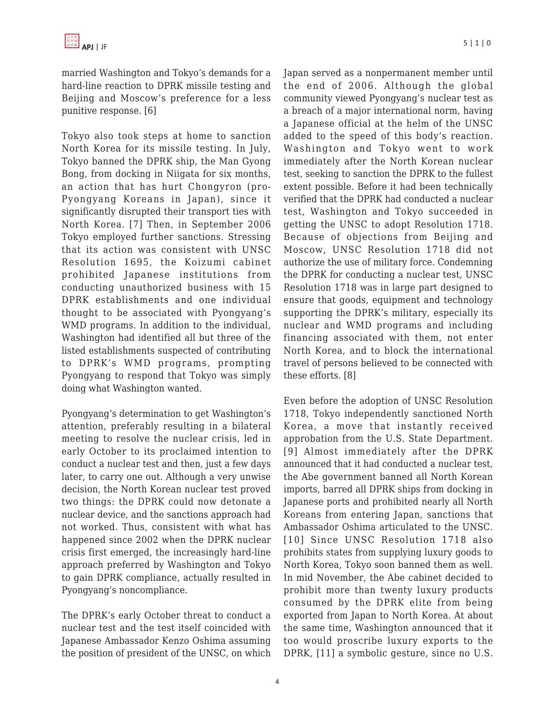married Washington and Tokyo's demands for a hard-line reaction to DPRK missile testing and Beijing and Moscow's preference for a less punitive response. [6]

Tokyo also took steps at home to sanction North Korea for its missile testing. In July, Tokyo banned the DPRK ship, the Man Gyong Bong, from docking in Niigata for six months, an action that has hurt Chongyron (pro-Pyongyang Koreans in Japan), since it significantly disrupted their transport ties with North Korea. [7] Then, in September 2006 Tokyo employed further sanctions. Stressing that its action was consistent with UNSC Resolution 1695, the Koizumi cabinet prohibited Japanese institutions from conducting unauthorized business with 15 DPRK establishments and one individual thought to be associated with Pyongyang's WMD programs. In addition to the individual, Washington had identified all but three of the listed establishments suspected of contributing to DPRK's WMD programs, prompting Pyongyang to respond that Tokyo was simply doing what Washington wanted.

Pyongyang's determination to get Washington's attention, preferably resulting in a bilateral meeting to resolve the nuclear crisis, led in early October to its proclaimed intention to conduct a nuclear test and then, just a few days later, to carry one out. Although a very unwise decision, the North Korean nuclear test proved two things: the DPRK could now detonate a nuclear device, and the sanctions approach had not worked. Thus, consistent with what has happened since 2002 when the DPRK nuclear crisis first emerged, the increasingly hard-line approach preferred by Washington and Tokyo to gain DPRK compliance, actually resulted in Pyongyang's noncompliance.

The DPRK's early October threat to conduct a nuclear test and the test itself coincided with Japanese Ambassador Kenzo Oshima assuming the position of president of the UNSC, on which Japan served as a nonpermanent member until the end of 2006. Although the global community viewed Pyongyang's nuclear test as a breach of a major international norm, having a Japanese official at the helm of the UNSC added to the speed of this body's reaction. Washington and Tokyo went to work immediately after the North Korean nuclear test, seeking to sanction the DPRK to the fullest extent possible. Before it had been technically verified that the DPRK had conducted a nuclear test, Washington and Tokyo succeeded in getting the UNSC to adopt Resolution 1718. Because of objections from Beijing and Moscow, UNSC Resolution 1718 did not authorize the use of military force. Condemning the DPRK for conducting a nuclear test, UNSC Resolution 1718 was in large part designed to ensure that goods, equipment and technology supporting the DPRK's military, especially its nuclear and WMD programs and including financing associated with them, not enter North Korea, and to block the international travel of persons believed to be connected with these efforts. [8]

Even before the adoption of UNSC Resolution 1718, Tokyo independently sanctioned North Korea, a move that instantly received approbation from the U.S. State Department. [9] Almost immediately after the DPRK announced that it had conducted a nuclear test, the Abe government banned all North Korean imports, barred all DPRK ships from docking in Japanese ports and prohibited nearly all North Koreans from entering Japan, sanctions that Ambassador Oshima articulated to the UNSC. [10] Since UNSC Resolution 1718 also prohibits states from supplying luxury goods to North Korea, Tokyo soon banned them as well. In mid November, the Abe cabinet decided to prohibit more than twenty luxury products consumed by the DPRK elite from being exported from Japan to North Korea. At about the same time, Washington announced that it too would proscribe luxury exports to the DPRK, [11] a symbolic gesture, since no U.S.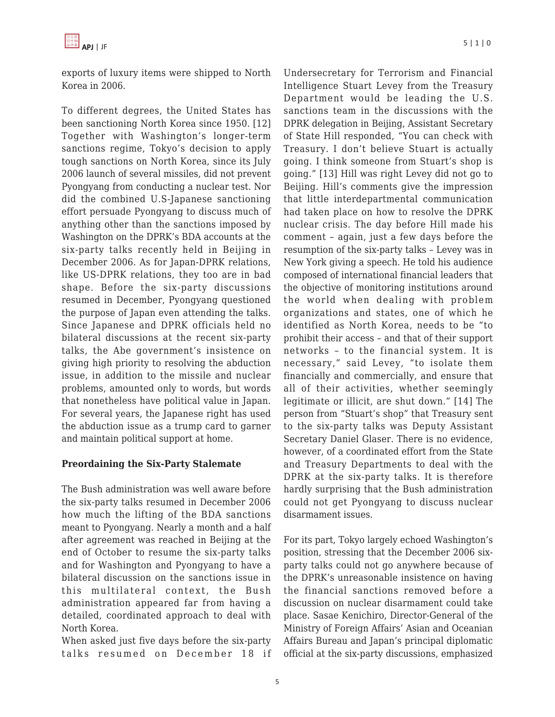exports of luxury items were shipped to North Korea in 2006.

To different degrees, the United States has been sanctioning North Korea since 1950. [12] Together with Washington's longer-term sanctions regime, Tokyo's decision to apply tough sanctions on North Korea, since its July 2006 launch of several missiles, did not prevent Pyongyang from conducting a nuclear test. Nor did the combined U.S-Japanese sanctioning effort persuade Pyongyang to discuss much of anything other than the sanctions imposed by Washington on the DPRK's BDA accounts at the six-party talks recently held in Beijing in December 2006. As for Japan-DPRK relations, like US-DPRK relations, they too are in bad shape. Before the six-party discussions resumed in December, Pyongyang questioned the purpose of Japan even attending the talks. Since Japanese and DPRK officials held no bilateral discussions at the recent six-party talks, the Abe government's insistence on giving high priority to resolving the abduction issue, in addition to the missile and nuclear problems, amounted only to words, but words that nonetheless have political value in Japan. For several years, the Japanese right has used the abduction issue as a trump card to garner and maintain political support at home.

## **Preordaining the Six-Party Stalemate**

The Bush administration was well aware before the six-party talks resumed in December 2006 how much the lifting of the BDA sanctions meant to Pyongyang. Nearly a month and a half after agreement was reached in Beijing at the end of October to resume the six-party talks and for Washington and Pyongyang to have a bilateral discussion on the sanctions issue in this multilateral context, the Bush administration appeared far from having a detailed, coordinated approach to deal with North Korea.

When asked just five days before the six-party talks resumed on December 18 if Undersecretary for Terrorism and Financial Intelligence Stuart Levey from the Treasury Department would be leading the U.S. sanctions team in the discussions with the DPRK delegation in Beijing, Assistant Secretary of State Hill responded, "You can check with Treasury. I don't believe Stuart is actually going. I think someone from Stuart's shop is going." [13] Hill was right Levey did not go to Beijing. Hill's comments give the impression that little interdepartmental communication had taken place on how to resolve the DPRK nuclear crisis. The day before Hill made his comment – again, just a few days before the resumption of the six-party talks – Levey was in New York giving a speech. He told his audience composed of international financial leaders that the objective of monitoring institutions around the world when dealing with problem organizations and states, one of which he identified as North Korea, needs to be "to prohibit their access – and that of their support networks – to the financial system. It is necessary," said Levey, "to isolate them financially and commercially, and ensure that all of their activities, whether seemingly legitimate or illicit, are shut down." [14] The person from "Stuart's shop" that Treasury sent to the six-party talks was Deputy Assistant Secretary Daniel Glaser. There is no evidence, however, of a coordinated effort from the State and Treasury Departments to deal with the DPRK at the six-party talks. It is therefore hardly surprising that the Bush administration could not get Pyongyang to discuss nuclear disarmament issues.

For its part, Tokyo largely echoed Washington's position, stressing that the December 2006 sixparty talks could not go anywhere because of the DPRK's unreasonable insistence on having the financial sanctions removed before a discussion on nuclear disarmament could take place. Sasae Kenichiro, Director-General of the Ministry of Foreign Affairs' Asian and Oceanian Affairs Bureau and Japan's principal diplomatic official at the six-party discussions, emphasized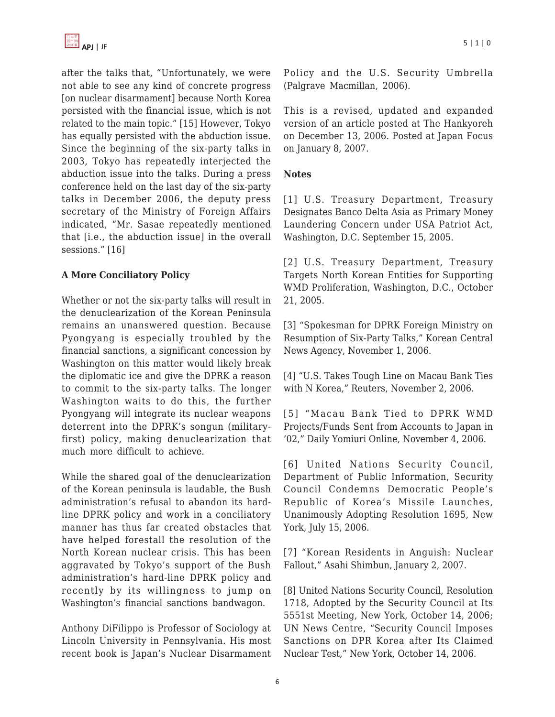after the talks that, "Unfortunately, we were not able to see any kind of concrete progress [on nuclear disarmament] because North Korea persisted with the financial issue, which is not related to the main topic." [15] However, Tokyo has equally persisted with the abduction issue. Since the beginning of the six-party talks in 2003, Tokyo has repeatedly interjected the abduction issue into the talks. During a press conference held on the last day of the six-party talks in December 2006, the deputy press secretary of the Ministry of Foreign Affairs indicated, "Mr. Sasae repeatedly mentioned that [i.e., the abduction issue] in the overall sessions." [16]

## **A More Conciliatory Policy**

Whether or not the six-party talks will result in the denuclearization of the Korean Peninsula remains an unanswered question. Because Pyongyang is especially troubled by the financial sanctions, a significant concession by Washington on this matter would likely break the diplomatic ice and give the DPRK a reason to commit to the six-party talks. The longer Washington waits to do this, the further Pyongyang will integrate its nuclear weapons deterrent into the DPRK's songun (militaryfirst) policy, making denuclearization that much more difficult to achieve.

While the shared goal of the denuclearization of the Korean peninsula is laudable, the Bush administration's refusal to abandon its hardline DPRK policy and work in a conciliatory manner has thus far created obstacles that have helped forestall the resolution of the North Korean nuclear crisis. This has been aggravated by Tokyo's support of the Bush administration's hard-line DPRK policy and recently by its willingness to jump on Washington's financial sanctions bandwagon.

Anthony DiFilippo is Professor of Sociology at Lincoln University in Pennsylvania. His most recent book is Japan's Nuclear Disarmament Policy and the U.S. Security Umbrella (Palgrave Macmillan, 2006).

This is a revised, updated and expanded version of an article posted at The Hankyoreh on December 13, 2006. Posted at Japan Focus on January 8, 2007.

## **Notes**

[1] U.S. Treasury Department, Treasury Designates Banco Delta Asia as Primary Money Laundering Concern under USA Patriot Act, Washington, D.C. September 15, 2005.

[2] U.S. Treasury Department, Treasury Targets North Korean Entities for Supporting WMD Proliferation, Washington, D.C., October 21, 2005.

[3] "Spokesman for DPRK Foreign Ministry on Resumption of Six-Party Talks," Korean Central News Agency, November 1, 2006.

[4] "U.S. Takes Tough Line on Macau Bank Ties with N Korea," Reuters, November 2, 2006.

[5] "Macau Bank Tied to DPRK WMD Projects/Funds Sent from Accounts to Japan in '02," Daily Yomiuri Online, November 4, 2006.

[6] United Nations Security Council, Department of Public Information, Security Council Condemns Democratic People's Republic of Korea's Missile Launches, Unanimously Adopting Resolution 1695, New York, July 15, 2006.

[7] "Korean Residents in Anguish: Nuclear Fallout," Asahi Shimbun, January 2, 2007.

[8] United Nations Security Council, Resolution 1718, Adopted by the Security Council at Its 5551st Meeting, New York, October 14, 2006; UN News Centre, "Security Council Imposes Sanctions on DPR Korea after Its Claimed Nuclear Test," New York, October 14, 2006.